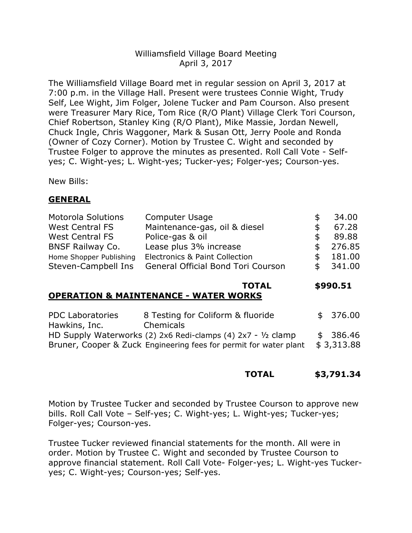# Williamsfield Village Board Meeting April 3, 2017

The Williamsfield Village Board met in regular session on April 3, 2017 at 7:00 p.m. in the Village Hall. Present were trustees Connie Wight, Trudy Self, Lee Wight, Jim Folger, Jolene Tucker and Pam Courson. Also present were Treasurer Mary Rice, Tom Rice (R/O Plant) Village Clerk Tori Courson, Chief Robertson, Stanley King (R/O Plant), Mike Massie, Jordan Newell, Chuck Ingle, Chris Waggoner, Mark & Susan Ott, Jerry Poole and Ronda (Owner of Cozy Corner). Motion by Trustee C. Wight and seconded by Trustee Folger to approve the minutes as presented. Roll Call Vote - Selfyes; C. Wight-yes; L. Wight-yes; Tucker-yes; Folger-yes; Courson-yes.

New Bills:

# **GENERAL**

| <b>Motorola Solutions</b> | <b>Computer Usage</b>                     | \$  | 34.00    |
|---------------------------|-------------------------------------------|-----|----------|
| <b>West Central FS</b>    | Maintenance-gas, oil & diesel             | \$. | 67.28    |
| <b>West Central FS</b>    | Police-gas & oil                          | S   | 89.88    |
| <b>BNSF Railway Co.</b>   | Lease plus 3% increase                    | \$. | 276.85   |
| Home Shopper Publishing   | <b>Electronics &amp; Paint Collection</b> | S   | 181.00   |
| Steven-Campbell Ins       | <b>General Official Bond Tori Courson</b> | \$  | - 341.00 |

### **TOTAL \$990.51**

### **OPERATION & MAINTENANCE - WATER WORKS**

| <b>PDC Laboratories</b> | 8 Testing for Coliform & fluoride                                 | \$376.00   |
|-------------------------|-------------------------------------------------------------------|------------|
| Hawkins, Inc.           | Chemicals                                                         |            |
|                         | HD Supply Waterworks (2) 2x6 Redi-clamps (4) 2x7 - $1/2$ clamp    | \$ 386.46  |
|                         | Bruner, Cooper & Zuck Engineering fees for permit for water plant | \$3,313.88 |

### **TOTAL \$3,791.34**

Motion by Trustee Tucker and seconded by Trustee Courson to approve new bills. Roll Call Vote – Self-yes; C. Wight-yes; L. Wight-yes; Tucker-yes; Folger-yes; Courson-yes.

Trustee Tucker reviewed financial statements for the month. All were in order. Motion by Trustee C. Wight and seconded by Trustee Courson to approve financial statement. Roll Call Vote- Folger-yes; L. Wight-yes Tuckeryes; C. Wight-yes; Courson-yes; Self-yes.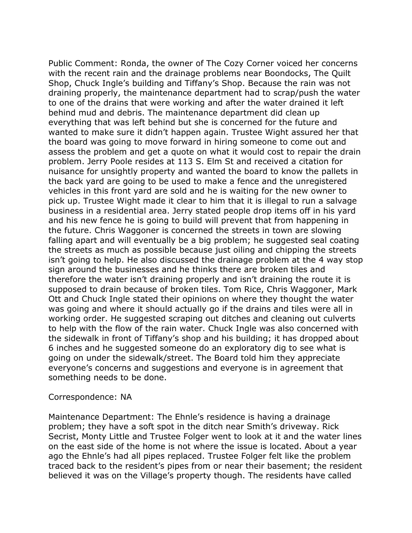Public Comment: Ronda, the owner of The Cozy Corner voiced her concerns with the recent rain and the drainage problems near Boondocks, The Quilt Shop, Chuck Ingle's building and Tiffany's Shop. Because the rain was not draining properly, the maintenance department had to scrap/push the water to one of the drains that were working and after the water drained it left behind mud and debris. The maintenance department did clean up everything that was left behind but she is concerned for the future and wanted to make sure it didn't happen again. Trustee Wight assured her that the board was going to move forward in hiring someone to come out and assess the problem and get a quote on what it would cost to repair the drain problem. Jerry Poole resides at 113 S. Elm St and received a citation for nuisance for unsightly property and wanted the board to know the pallets in the back yard are going to be used to make a fence and the unregistered vehicles in this front yard are sold and he is waiting for the new owner to pick up. Trustee Wight made it clear to him that it is illegal to run a salvage business in a residential area. Jerry stated people drop items off in his yard and his new fence he is going to build will prevent that from happening in the future. Chris Waggoner is concerned the streets in town are slowing falling apart and will eventually be a big problem; he suggested seal coating the streets as much as possible because just oiling and chipping the streets isn't going to help. He also discussed the drainage problem at the 4 way stop sign around the businesses and he thinks there are broken tiles and therefore the water isn't draining properly and isn't draining the route it is supposed to drain because of broken tiles. Tom Rice, Chris Waggoner, Mark Ott and Chuck Ingle stated their opinions on where they thought the water was going and where it should actually go if the drains and tiles were all in working order. He suggested scraping out ditches and cleaning out culverts to help with the flow of the rain water. Chuck Ingle was also concerned with the sidewalk in front of Tiffany's shop and his building; it has dropped about 6 inches and he suggested someone do an exploratory dig to see what is going on under the sidewalk/street. The Board told him they appreciate everyone's concerns and suggestions and everyone is in agreement that something needs to be done.

#### Correspondence: NA

Maintenance Department: The Ehnle's residence is having a drainage problem; they have a soft spot in the ditch near Smith's driveway. Rick Secrist, Monty Little and Trustee Folger went to look at it and the water lines on the east side of the home is not where the issue is located. About a year ago the Ehnle's had all pipes replaced. Trustee Folger felt like the problem traced back to the resident's pipes from or near their basement; the resident believed it was on the Village's property though. The residents have called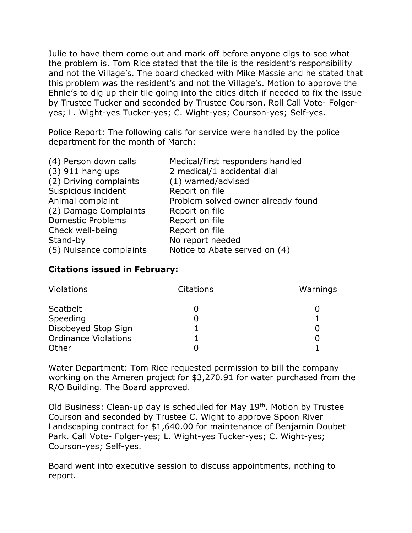Julie to have them come out and mark off before anyone digs to see what the problem is. Tom Rice stated that the tile is the resident's responsibility and not the Village's. The board checked with Mike Massie and he stated that this problem was the resident's and not the Village's. Motion to approve the Ehnle's to dig up their tile going into the cities ditch if needed to fix the issue by Trustee Tucker and seconded by Trustee Courson. Roll Call Vote- Folgeryes; L. Wight-yes Tucker-yes; C. Wight-yes; Courson-yes; Self-yes.

Police Report: The following calls for service were handled by the police department for the month of March:

| (4) Person down calls    | Medical/first responders handled   |
|--------------------------|------------------------------------|
| $(3)$ 911 hang ups       | 2 medical/1 accidental dial        |
| (2) Driving complaints   | (1) warned/advised                 |
| Suspicious incident      | Report on file                     |
| Animal complaint         | Problem solved owner already found |
| (2) Damage Complaints    | Report on file                     |
| <b>Domestic Problems</b> | Report on file                     |
| Check well-being         | Report on file                     |
| Stand-by                 | No report needed                   |
| (5) Nuisance complaints  | Notice to Abate served on (4)      |

## **Citations issued in February:**

| Violations                  | <b>Citations</b> | Warnings |
|-----------------------------|------------------|----------|
| Seatbelt                    |                  |          |
| Speeding                    |                  |          |
| Disobeyed Stop Sign         |                  |          |
| <b>Ordinance Violations</b> |                  |          |
| Other                       |                  |          |

Water Department: Tom Rice requested permission to bill the company working on the Ameren project for \$3,270.91 for water purchased from the R/O Building. The Board approved.

Old Business: Clean-up day is scheduled for May 19th. Motion by Trustee Courson and seconded by Trustee C. Wight to approve Spoon River Landscaping contract for \$1,640.00 for maintenance of Benjamin Doubet Park. Call Vote- Folger-yes; L. Wight-yes Tucker-yes; C. Wight-yes; Courson-yes; Self-yes.

Board went into executive session to discuss appointments, nothing to report.